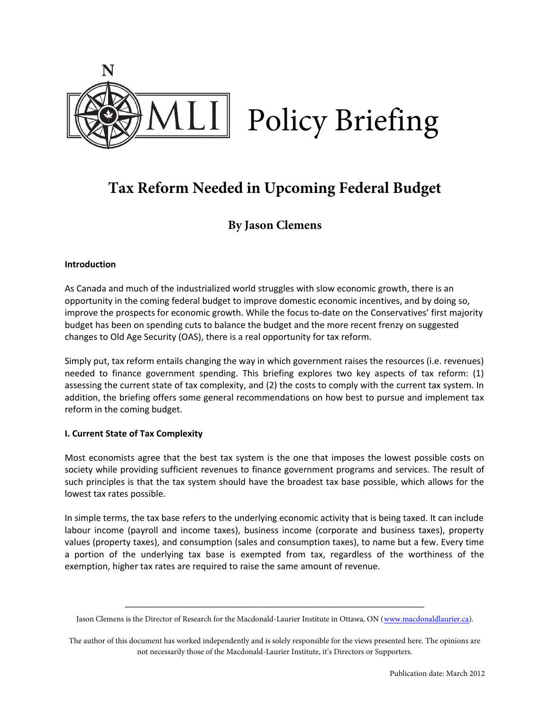

# **Tax Reform Needed in Upcoming Federal Budget**

## **By Jason Clemens**

### **Introduction**

As Canada and much of the industrialized world struggles with slow economic growth, there is an opportunity in the coming federal budget to improve domestic economic incentives, and by doing so, improve the prospects for economic growth. While the focus to-date on the Conservatives' first majority budget has been on spending cuts to balance the budget and the more recent frenzy on suggested changes to Old Age Security (OAS), there is a real opportunity for tax reform.

Simply put, tax reform entails changing the way in which government raises the resources (i.e. revenues) needed to finance government spending. This briefing explores two key aspects of tax reform: (1) assessing the current state of tax complexity, and (2) the costs to comply with the current tax system. In addition, the briefing offers some general recommendations on how best to pursue and implement tax reform in the coming budget.

### **I. Current State of Tax Complexity**

Most economists agree that the best tax system is the one that imposes the lowest possible costs on society while providing sufficient revenues to finance government programs and services. The result of such principles is that the tax system should have the broadest tax base possible, which allows for the lowest tax rates possible.

In simple terms, the tax base refers to the underlying economic activity that is being taxed. It can include labour income (payroll and income taxes), business income (corporate and business taxes), property values (property taxes), and consumption (sales and consumption taxes), to name but a few. Every time a portion of the underlying tax base is exempted from tax, regardless of the worthiness of the exemption, higher tax rates are required to raise the same amount of revenue.

\_\_\_\_\_\_\_\_\_\_\_\_\_\_\_\_\_\_\_\_\_\_\_\_\_\_\_\_\_\_\_\_\_\_\_\_\_\_\_\_\_\_\_\_\_\_\_\_\_\_\_\_\_\_\_\_\_\_\_\_\_\_\_\_\_\_\_ Jason Clemens is the Director of Research for the Macdonald-Laurier Institute in Ottawa, ON [\(www.macdonaldlaurier.ca\)](http://www.macdonaldlaurier.ca/).

The author of this document has worked independently and is solely responsible for the views presented here. The opinions are not necessarily those of the Macdonald-Laurier Institute, it's Directors or Supporters.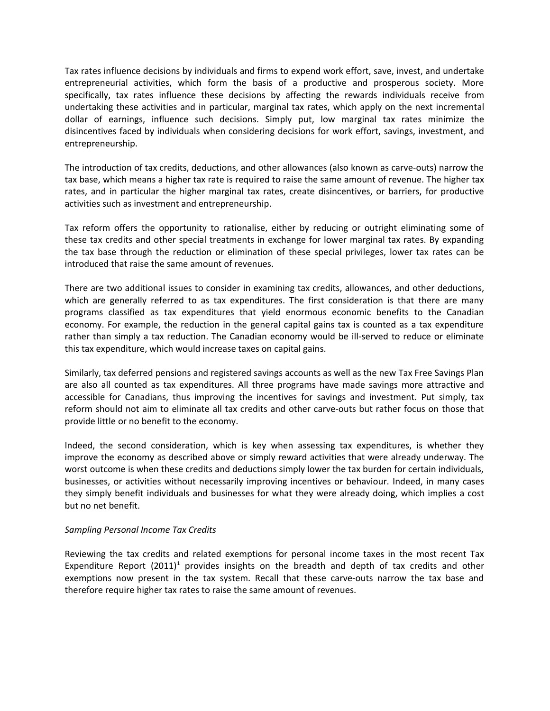Tax rates influence decisions by individuals and firms to expend work effort, save, invest, and undertake entrepreneurial activities, which form the basis of a productive and prosperous society. More specifically, tax rates influence these decisions by affecting the rewards individuals receive from undertaking these activities and in particular, marginal tax rates, which apply on the next incremental dollar of earnings, influence such decisions. Simply put, low marginal tax rates minimize the disincentives faced by individuals when considering decisions for work effort, savings, investment, and entrepreneurship.

The introduction of tax credits, deductions, and other allowances (also known as carve-outs) narrow the tax base, which means a higher tax rate is required to raise the same amount of revenue. The higher tax rates, and in particular the higher marginal tax rates, create disincentives, or barriers, for productive activities such as investment and entrepreneurship.

Tax reform offers the opportunity to rationalise, either by reducing or outright eliminating some of these tax credits and other special treatments in exchange for lower marginal tax rates. By expanding the tax base through the reduction or elimination of these special privileges, lower tax rates can be introduced that raise the same amount of revenues.

There are two additional issues to consider in examining tax credits, allowances, and other deductions, which are generally referred to as tax expenditures. The first consideration is that there are many programs classified as tax expenditures that yield enormous economic benefits to the Canadian economy. For example, the reduction in the general capital gains tax is counted as a tax expenditure rather than simply a tax reduction. The Canadian economy would be ill-served to reduce or eliminate this tax expenditure, which would increase taxes on capital gains.

Similarly, tax deferred pensions and registered savings accounts as well as the new Tax Free Savings Plan are also all counted as tax expenditures. All three programs have made savings more attractive and accessible for Canadians, thus improving the incentives for savings and investment. Put simply, tax reform should not aim to eliminate all tax credits and other carve-outs but rather focus on those that provide little or no benefit to the economy.

Indeed, the second consideration, which is key when assessing tax expenditures, is whether they improve the economy as described above or simply reward activities that were already underway. The worst outcome is when these credits and deductions simply lower the tax burden for certain individuals, businesses, or activities without necessarily improving incentives or behaviour. Indeed, in many cases they simply benefit individuals and businesses for what they were already doing, which implies a cost but no net benefit.

### *Sampling Personal Income Tax Credits*

Reviewing the tax credits and related exemptions for personal income taxes in the most recent Tax Expenditure Report (20[1](#page-5-0)1)<sup>1</sup> provides insights on the breadth and depth of tax credits and other exemptions now present in the tax system. Recall that these carve-outs narrow the tax base and therefore require higher tax rates to raise the same amount of revenues.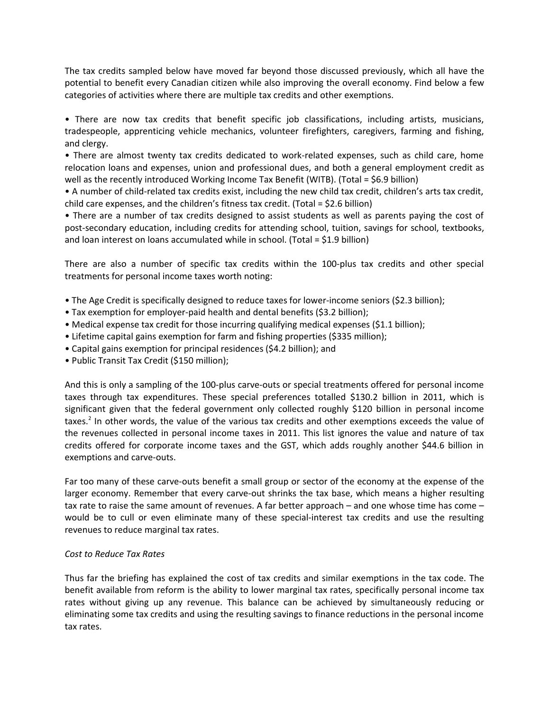The tax credits sampled below have moved far beyond those discussed previously, which all have the potential to benefit every Canadian citizen while also improving the overall economy. Find below a few categories of activities where there are multiple tax credits and other exemptions.

• There are now tax credits that benefit specific job classifications, including artists, musicians, tradespeople, apprenticing vehicle mechanics, volunteer firefighters, caregivers, farming and fishing, and clergy.

• There are almost twenty tax credits dedicated to work-related expenses, such as child care, home relocation loans and expenses, union and professional dues, and both a general employment credit as well as the recently introduced Working Income Tax Benefit (WITB). (Total = \$6.9 billion)

• A number of child-related tax credits exist, including the new child tax credit, children's arts tax credit, child care expenses, and the children's fitness tax credit. (Total = \$2.6 billion)

• There are a number of tax credits designed to assist students as well as parents paying the cost of post-secondary education, including credits for attending school, tuition, savings for school, textbooks, and loan interest on loans accumulated while in school. (Total = \$1.9 billion)

There are also a number of specific tax credits within the 100-plus tax credits and other special treatments for personal income taxes worth noting:

- The Age Credit is specifically designed to reduce taxes for lower-income seniors (\$2.3 billion);
- Tax exemption for employer-paid health and dental benefits (\$3.2 billion);
- Medical expense tax credit for those incurring qualifying medical expenses (\$1.1 billion);
- Lifetime capital gains exemption for farm and fishing properties (\$335 million);
- Capital gains exemption for principal residences (\$4.2 billion); and
- Public Transit Tax Credit (\$150 million);

And this is only a sampling of the 100-plus carve-outs or special treatments offered for personal income taxes through tax expenditures. These special preferences totalled \$130.2 billion in 2011, which is significant given that the federal government only collected roughly \$120 billion in personal income taxes.<sup>[2](#page-5-1)</sup> In other words, the value of the various tax credits and other exemptions exceeds the value of the revenues collected in personal income taxes in 2011. This list ignores the value and nature of tax credits offered for corporate income taxes and the GST, which adds roughly another \$44.6 billion in exemptions and carve-outs.

Far too many of these carve-outs benefit a small group or sector of the economy at the expense of the larger economy. Remember that every carve-out shrinks the tax base, which means a higher resulting tax rate to raise the same amount of revenues. A far better approach – and one whose time has come – would be to cull or even eliminate many of these special-interest tax credits and use the resulting revenues to reduce marginal tax rates.

### *Cost to Reduce Tax Rates*

Thus far the briefing has explained the cost of tax credits and similar exemptions in the tax code. The benefit available from reform is the ability to lower marginal tax rates, specifically personal income tax rates without giving up any revenue. This balance can be achieved by simultaneously reducing or eliminating some tax credits and using the resulting savings to finance reductions in the personal income tax rates.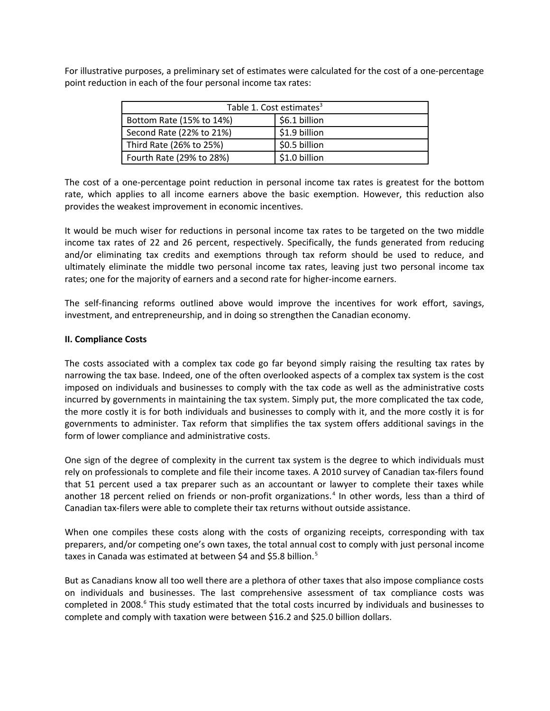For illustrative purposes, a preliminary set of estimates were calculated for the cost of a one-percentage point reduction in each of the four personal income tax rates:

| Table 1. Cost estimates <sup>3</sup> |               |
|--------------------------------------|---------------|
| Bottom Rate (15% to 14%)             | \$6.1 billion |
| Second Rate (22% to 21%)             | \$1.9 billion |
| Third Rate (26% to 25%)              | \$0.5 billion |
| Fourth Rate (29% to 28%)             | \$1.0 billion |

The cost of a one-percentage point reduction in personal income tax rates is greatest for the bottom rate, which applies to all income earners above the basic exemption. However, this reduction also provides the weakest improvement in economic incentives.

It would be much wiser for reductions in personal income tax rates to be targeted on the two middle income tax rates of 22 and 26 percent, respectively. Specifically, the funds generated from reducing and/or eliminating tax credits and exemptions through tax reform should be used to reduce, and ultimately eliminate the middle two personal income tax rates, leaving just two personal income tax rates; one for the majority of earners and a second rate for higher-income earners.

The self-financing reforms outlined above would improve the incentives for work effort, savings, investment, and entrepreneurship, and in doing so strengthen the Canadian economy.

#### **II. Compliance Costs**

The costs associated with a complex tax code go far beyond simply raising the resulting tax rates by narrowing the tax base. Indeed, one of the often overlooked aspects of a complex tax system is the cost imposed on individuals and businesses to comply with the tax code as well as the administrative costs incurred by governments in maintaining the tax system. Simply put, the more complicated the tax code, the more costly it is for both individuals and businesses to comply with it, and the more costly it is for governments to administer. Tax reform that simplifies the tax system offers additional savings in the form of lower compliance and administrative costs.

One sign of the degree of complexity in the current tax system is the degree to which individuals must rely on professionals to complete and file their income taxes. A 2010 survey of Canadian tax-filers found that 51 percent used a tax preparer such as an accountant or lawyer to complete their taxes while another 18 percent relied on friends or non-profit organizations.<sup>[4](#page-5-3)</sup> In other words, less than a third of Canadian tax-filers were able to complete their tax returns without outside assistance.

When one compiles these costs along with the costs of organizing receipts, corresponding with tax preparers, and/or competing one's own taxes, the total annual cost to comply with just personal income taxes in Canada was estimated at between \$4 and \$[5](#page-5-4).8 billion.<sup>5</sup>

But as Canadians know all too well there are a plethora of other taxes that also impose compliance costs on individuals and businesses. The last comprehensive assessment of tax compliance costs was completed in 2008.<sup>[6](#page-5-5)</sup> This study estimated that the total costs incurred by individuals and businesses to complete and comply with taxation were between \$16.2 and \$25.0 billion dollars.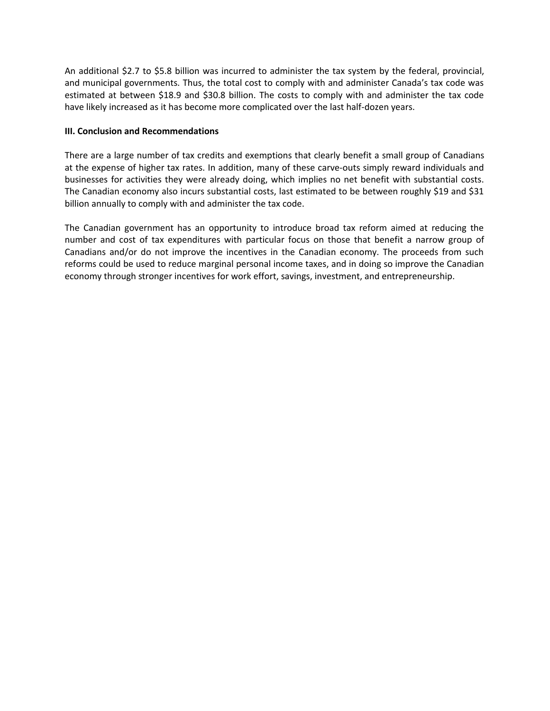An additional \$2.7 to \$5.8 billion was incurred to administer the tax system by the federal, provincial, and municipal governments. Thus, the total cost to comply with and administer Canada's tax code was estimated at between \$18.9 and \$30.8 billion. The costs to comply with and administer the tax code have likely increased as it has become more complicated over the last half-dozen years.

### **III. Conclusion and Recommendations**

There are a large number of tax credits and exemptions that clearly benefit a small group of Canadians at the expense of higher tax rates. In addition, many of these carve-outs simply reward individuals and businesses for activities they were already doing, which implies no net benefit with substantial costs. The Canadian economy also incurs substantial costs, last estimated to be between roughly \$19 and \$31 billion annually to comply with and administer the tax code.

The Canadian government has an opportunity to introduce broad tax reform aimed at reducing the number and cost of tax expenditures with particular focus on those that benefit a narrow group of Canadians and/or do not improve the incentives in the Canadian economy. The proceeds from such reforms could be used to reduce marginal personal income taxes, and in doing so improve the Canadian economy through stronger incentives for work effort, savings, investment, and entrepreneurship.